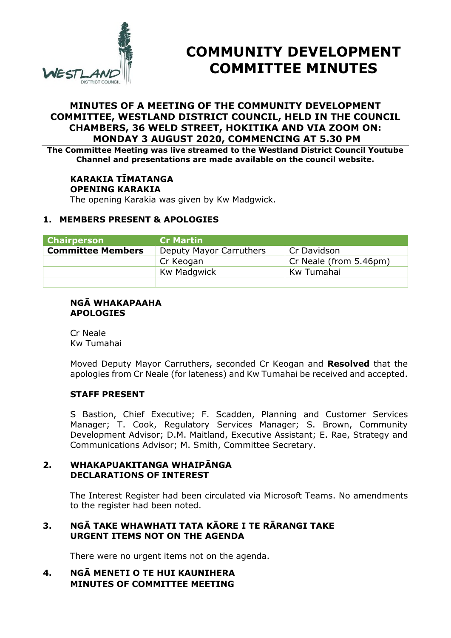

# **COMMUNITY DEVELOPMENT COMMITTEE MINUTES**

# **MINUTES OF A MEETING OF THE COMMUNITY DEVELOPMENT COMMITTEE, WESTLAND DISTRICT COUNCIL, HELD IN THE COUNCIL CHAMBERS, 36 WELD STREET, HOKITIKA AND VIA ZOOM ON: MONDAY 3 AUGUST 2020, COMMENCING AT 5.30 PM**

**The Committee Meeting was live streamed to the Westland District Council Youtube Channel and presentations are made available on the council website.** 

# **KARAKIA TĪMATANGA OPENING KARAKIA**

The opening Karakia was given by Kw Madgwick.

#### **1. MEMBERS PRESENT & APOLOGIES**

| <b>Chairperson</b>       | <b>Cr Martin</b>        |                           |
|--------------------------|-------------------------|---------------------------|
| <b>Committee Members</b> | Deputy Mayor Carruthers | Cr Davidson               |
|                          | Cr Keogan               | $C$ r Neale (from 5.46pm) |
|                          | <b>Kw Madgwick</b>      | Kw Tumahai                |
|                          |                         |                           |

#### **NGĀ WHAKAPAAHA APOLOGIES**

Cr Neale Kw Tumahai

Moved Deputy Mayor Carruthers, seconded Cr Keogan and **Resolved** that the apologies from Cr Neale (for lateness) and Kw Tumahai be received and accepted.

#### **STAFF PRESENT**

S Bastion, Chief Executive; F. Scadden, Planning and Customer Services Manager; T. Cook, Regulatory Services Manager; S. Brown, Community Development Advisor; D.M. Maitland, Executive Assistant; E. Rae, Strategy and Communications Advisor; M. Smith, Committee Secretary.

#### **2. WHAKAPUAKITANGA WHAIPĀNGA DECLARATIONS OF INTEREST**

The Interest Register had been circulated via Microsoft Teams. No amendments to the register had been noted.

# **3. NGĀ TAKE WHAWHATI TATA KĀORE I TE RĀRANGI TAKE URGENT ITEMS NOT ON THE AGENDA**

There were no urgent items not on the agenda.

# **4. NGĀ MENETI O TE HUI KAUNIHERA MINUTES OF COMMITTEE MEETING**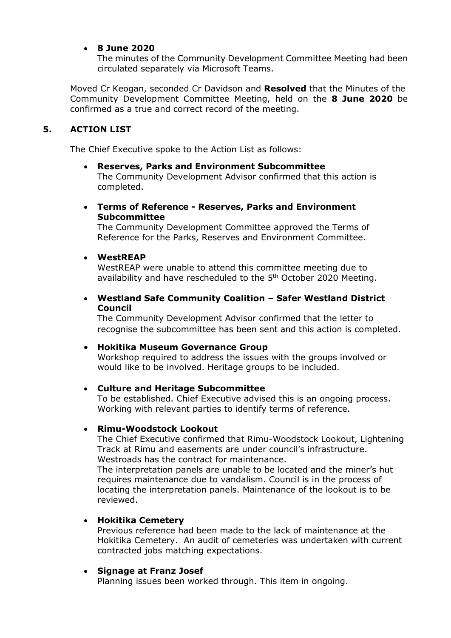# **8 June 2020**

The minutes of the Community Development Committee Meeting had been circulated separately via Microsoft Teams.

Moved Cr Keogan, seconded Cr Davidson and **Resolved** that the Minutes of the Community Development Committee Meeting, held on the **8 June 2020** be confirmed as a true and correct record of the meeting.

# **5. ACTION LIST**

The Chief Executive spoke to the Action List as follows:

 **Reserves, Parks and Environment Subcommittee**  The Community Development Advisor confirmed that this action is completed.

#### **Terms of Reference - Reserves, Parks and Environment Subcommittee**

The Community Development Committee approved the Terms of Reference for the Parks, Reserves and Environment Committee.

#### **WestREAP**

WestREAP were unable to attend this committee meeting due to availability and have rescheduled to the 5<sup>th</sup> October 2020 Meeting.

# **Westland Safe Community Coalition – Safer Westland District Council**

The Community Development Advisor confirmed that the letter to recognise the subcommittee has been sent and this action is completed.

#### **Hokitika Museum Governance Group**

Workshop required to address the issues with the groups involved or would like to be involved. Heritage groups to be included.

#### **Culture and Heritage Subcommittee**

To be established. Chief Executive advised this is an ongoing process. Working with relevant parties to identify terms of reference.

#### **Rimu-Woodstock Lookout**

The Chief Executive confirmed that Rimu-Woodstock Lookout, Lightening Track at Rimu and easements are under council's infrastructure. Westroads has the contract for maintenance.

The interpretation panels are unable to be located and the miner's hut requires maintenance due to vandalism. Council is in the process of locating the interpretation panels. Maintenance of the lookout is to be reviewed.

#### **Hokitika Cemetery**

Previous reference had been made to the lack of maintenance at the Hokitika Cemetery. An audit of cemeteries was undertaken with current contracted jobs matching expectations.

#### **Signage at Franz Josef**

Planning issues been worked through. This item in ongoing.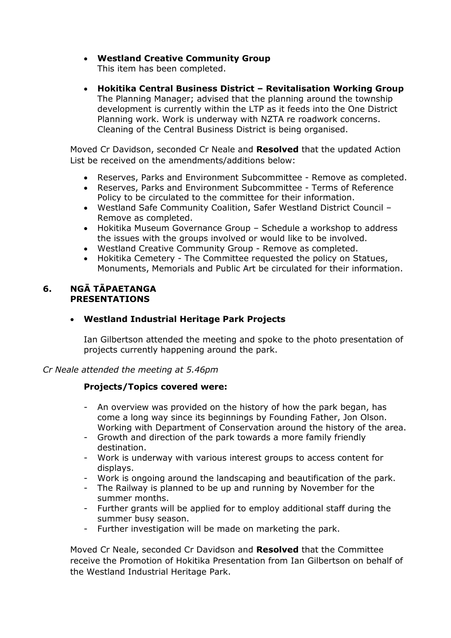- **Westland Creative Community Group**  This item has been completed.
- **Hokitika Central Business District Revitalisation Working Group**  The Planning Manager; advised that the planning around the township development is currently within the LTP as it feeds into the One District Planning work. Work is underway with NZTA re roadwork concerns. Cleaning of the Central Business District is being organised.

Moved Cr Davidson, seconded Cr Neale and **Resolved** that the updated Action List be received on the amendments/additions below:

- Reserves, Parks and Environment Subcommittee Remove as completed.
- Reserves, Parks and Environment Subcommittee Terms of Reference Policy to be circulated to the committee for their information.
- Westland Safe Community Coalition, Safer Westland District Council Remove as completed.
- Hokitika Museum Governance Group Schedule a workshop to address the issues with the groups involved or would like to be involved.
- Westland Creative Community Group Remove as completed.
- Hokitika Cemetery The Committee requested the policy on Statues, Monuments, Memorials and Public Art be circulated for their information.

#### **6. NGĀ TĀPAETANGA PRESENTATIONS**

# **Westland Industrial Heritage Park Projects**

Ian Gilbertson attended the meeting and spoke to the photo presentation of projects currently happening around the park.

*Cr Neale attended the meeting at 5.46pm* 

# **Projects/Topics covered were:**

- An overview was provided on the history of how the park began, has come a long way since its beginnings by Founding Father, Jon Olson. Working with Department of Conservation around the history of the area.
- Growth and direction of the park towards a more family friendly destination.
- Work is underway with various interest groups to access content for displays.
- Work is ongoing around the landscaping and beautification of the park.
- The Railway is planned to be up and running by November for the summer months.
- Further grants will be applied for to employ additional staff during the summer busy season.
- Further investigation will be made on marketing the park.

Moved Cr Neale, seconded Cr Davidson and **Resolved** that the Committee receive the Promotion of Hokitika Presentation from Ian Gilbertson on behalf of the Westland Industrial Heritage Park.